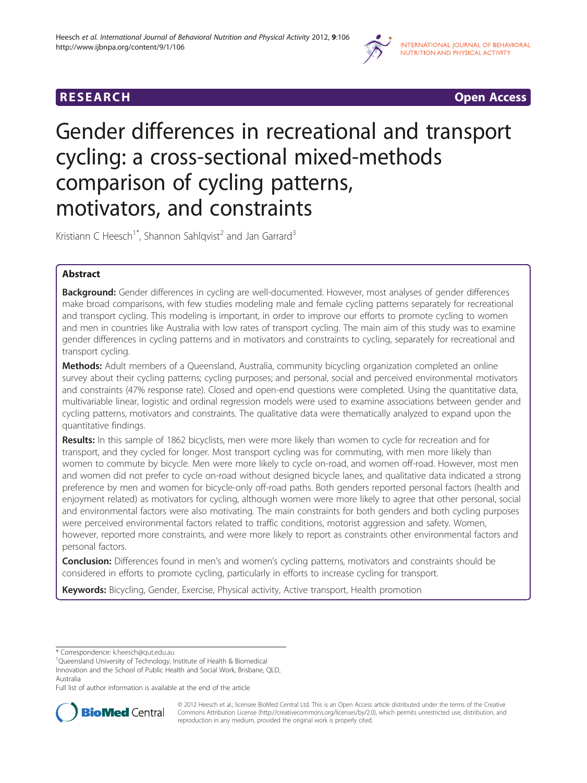



# Gender differences in recreational and transport cycling: a cross-sectional mixed-methods comparison of cycling patterns, motivators, and constraints

Kristiann C Heesch<sup>1\*</sup>, Shannon Sahlqvist<sup>2</sup> and Jan Garrard<sup>3</sup>

# Abstract

**Background:** Gender differences in cycling are well-documented. However, most analyses of gender differences make broad comparisons, with few studies modeling male and female cycling patterns separately for recreational and transport cycling. This modeling is important, in order to improve our efforts to promote cycling to women and men in countries like Australia with low rates of transport cycling. The main aim of this study was to examine gender differences in cycling patterns and in motivators and constraints to cycling, separately for recreational and transport cycling.

Methods: Adult members of a Queensland, Australia, community bicycling organization completed an online survey about their cycling patterns; cycling purposes; and personal, social and perceived environmental motivators and constraints (47% response rate). Closed and open-end questions were completed. Using the quantitative data, multivariable linear, logistic and ordinal regression models were used to examine associations between gender and cycling patterns, motivators and constraints. The qualitative data were thematically analyzed to expand upon the quantitative findings.

Results: In this sample of 1862 bicyclists, men were more likely than women to cycle for recreation and for transport, and they cycled for longer. Most transport cycling was for commuting, with men more likely than women to commute by bicycle. Men were more likely to cycle on-road, and women off-road. However, most men and women did not prefer to cycle on-road without designed bicycle lanes, and qualitative data indicated a strong preference by men and women for bicycle-only off-road paths. Both genders reported personal factors (health and enjoyment related) as motivators for cycling, although women were more likely to agree that other personal, social and environmental factors were also motivating. The main constraints for both genders and both cycling purposes were perceived environmental factors related to traffic conditions, motorist aggression and safety. Women, however, reported more constraints, and were more likely to report as constraints other environmental factors and personal factors.

Conclusion: Differences found in men's and women's cycling patterns, motivators and constraints should be considered in efforts to promote cycling, particularly in efforts to increase cycling for transport.

Keywords: Bicycling, Gender, Exercise, Physical activity, Active transport, Health promotion

\* Correspondence: [k.heesch@qut.edu.au](mailto:k.heesch@qut.edu.au) <sup>1</sup>

<sup>1</sup>Queensland University of Technology, Institute of Health & Biomedical Innovation and the School of Public Health and Social Work, Brisbane, QLD, Australia

Full list of author information is available at the end of the article



© 2012 Heesch et al.; licensee BioMed Central Ltd. This is an Open Access article distributed under the terms of the Creative Commons Attribution License [\(http://creativecommons.org/licenses/by/2.0\)](http://creativecommons.org/licenses/by/2.0), which permits unrestricted use, distribution, and reproduction in any medium, provided the original work is properly cited.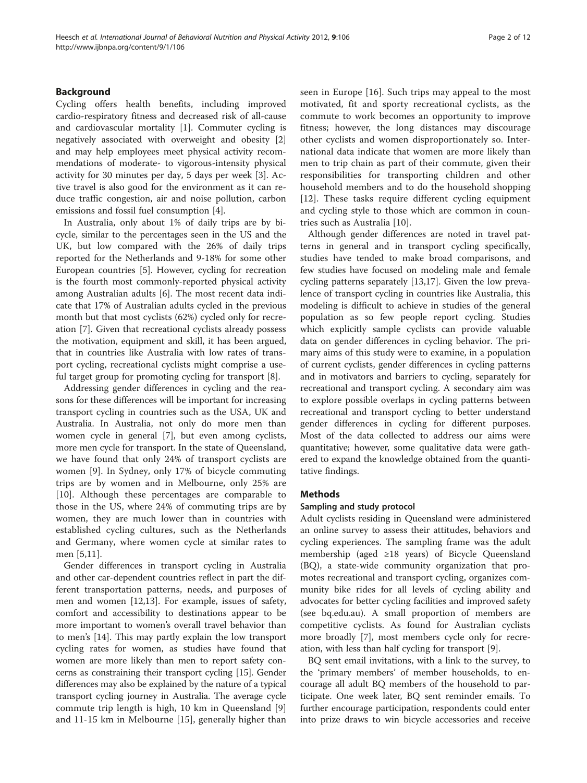# Background

Cycling offers health benefits, including improved cardio-respiratory fitness and decreased risk of all-cause and cardiovascular mortality [[1\]](#page-10-0). Commuter cycling is negatively associated with overweight and obesity [\[2](#page-10-0)] and may help employees meet physical activity recommendations of moderate- to vigorous-intensity physical activity for 30 minutes per day, 5 days per week [\[3](#page-10-0)]. Active travel is also good for the environment as it can reduce traffic congestion, air and noise pollution, carbon emissions and fossil fuel consumption [[4\]](#page-10-0).

In Australia, only about 1% of daily trips are by bicycle, similar to the percentages seen in the US and the UK, but low compared with the 26% of daily trips reported for the Netherlands and 9-18% for some other European countries [[5\]](#page-10-0). However, cycling for recreation is the fourth most commonly-reported physical activity among Australian adults [[6\]](#page-10-0). The most recent data indicate that 17% of Australian adults cycled in the previous month but that most cyclists (62%) cycled only for recreation [[7\]](#page-10-0). Given that recreational cyclists already possess the motivation, equipment and skill, it has been argued, that in countries like Australia with low rates of transport cycling, recreational cyclists might comprise a useful target group for promoting cycling for transport [\[8](#page-10-0)].

Addressing gender differences in cycling and the reasons for these differences will be important for increasing transport cycling in countries such as the USA, UK and Australia. In Australia, not only do more men than women cycle in general [\[7\]](#page-10-0), but even among cyclists, more men cycle for transport. In the state of Queensland, we have found that only 24% of transport cyclists are women [[9](#page-10-0)]. In Sydney, only 17% of bicycle commuting trips are by women and in Melbourne, only 25% are [[10\]](#page-10-0). Although these percentages are comparable to those in the US, where 24% of commuting trips are by women, they are much lower than in countries with established cycling cultures, such as the Netherlands and Germany, where women cycle at similar rates to men [[5,11](#page-10-0)].

Gender differences in transport cycling in Australia and other car-dependent countries reflect in part the different transportation patterns, needs, and purposes of men and women [[12](#page-10-0),[13](#page-10-0)]. For example, issues of safety, comfort and accessibility to destinations appear to be more important to women's overall travel behavior than to men's [\[14\]](#page-10-0). This may partly explain the low transport cycling rates for women, as studies have found that women are more likely than men to report safety concerns as constraining their transport cycling [\[15](#page-10-0)]. Gender differences may also be explained by the nature of a typical transport cycling journey in Australia. The average cycle commute trip length is high, 10 km in Queensland [\[9](#page-10-0)] and 11-15 km in Melbourne [[15\]](#page-10-0), generally higher than

seen in Europe [\[16](#page-10-0)]. Such trips may appeal to the most motivated, fit and sporty recreational cyclists, as the commute to work becomes an opportunity to improve fitness; however, the long distances may discourage other cyclists and women disproportionately so. International data indicate that women are more likely than men to trip chain as part of their commute, given their responsibilities for transporting children and other household members and to do the household shopping [[12\]](#page-10-0). These tasks require different cycling equipment and cycling style to those which are common in countries such as Australia [[10](#page-10-0)].

Although gender differences are noted in travel patterns in general and in transport cycling specifically, studies have tended to make broad comparisons, and few studies have focused on modeling male and female cycling patterns separately [\[13,17](#page-10-0)]. Given the low prevalence of transport cycling in countries like Australia, this modeling is difficult to achieve in studies of the general population as so few people report cycling. Studies which explicitly sample cyclists can provide valuable data on gender differences in cycling behavior. The primary aims of this study were to examine, in a population of current cyclists, gender differences in cycling patterns and in motivators and barriers to cycling, separately for recreational and transport cycling. A secondary aim was to explore possible overlaps in cycling patterns between recreational and transport cycling to better understand gender differences in cycling for different purposes. Most of the data collected to address our aims were quantitative; however, some qualitative data were gathered to expand the knowledge obtained from the quantitative findings.

# Methods

# Sampling and study protocol

Adult cyclists residing in Queensland were administered an online survey to assess their attitudes, behaviors and cycling experiences. The sampling frame was the adult membership (aged ≥18 years) of Bicycle Queensland (BQ), a state-wide community organization that promotes recreational and transport cycling, organizes community bike rides for all levels of cycling ability and advocates for better cycling facilities and improved safety (see bq.edu.au). A small proportion of members are competitive cyclists. As found for Australian cyclists more broadly [[7\]](#page-10-0), most members cycle only for recreation, with less than half cycling for transport [[9\]](#page-10-0).

BQ sent email invitations, with a link to the survey, to the 'primary members' of member households, to encourage all adult BQ members of the household to participate. One week later, BQ sent reminder emails. To further encourage participation, respondents could enter into prize draws to win bicycle accessories and receive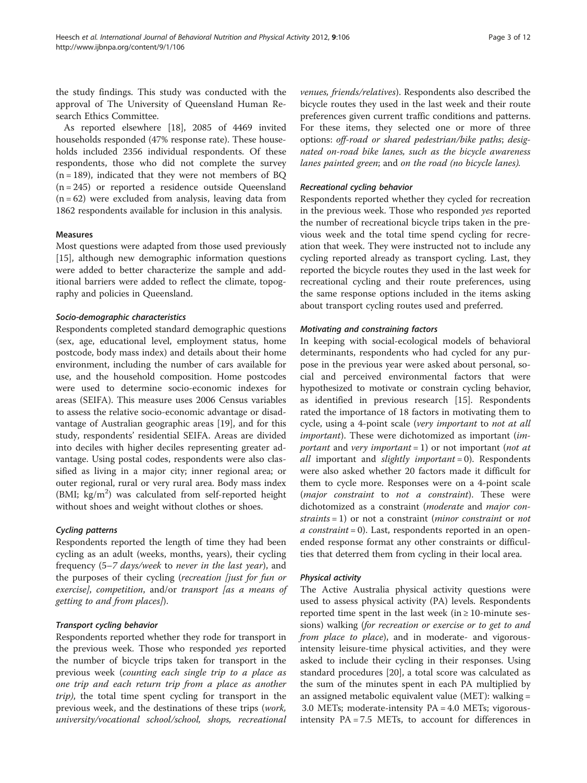the study findings. This study was conducted with the approval of The University of Queensland Human Research Ethics Committee.

As reported elsewhere [\[18](#page-10-0)], 2085 of 4469 invited households responded (47% response rate). These households included 2356 individual respondents. Of these respondents, those who did not complete the survey  $(n = 189)$ , indicated that they were not members of BQ  $(n = 245)$  or reported a residence outside Queensland  $(n = 62)$  were excluded from analysis, leaving data from 1862 respondents available for inclusion in this analysis.

### Measures

Most questions were adapted from those used previously [[15\]](#page-10-0), although new demographic information questions were added to better characterize the sample and additional barriers were added to reflect the climate, topography and policies in Queensland.

# Socio-demographic characteristics

Respondents completed standard demographic questions (sex, age, educational level, employment status, home postcode, body mass index) and details about their home environment, including the number of cars available for use, and the household composition. Home postcodes were used to determine socio-economic indexes for areas (SEIFA). This measure uses 2006 Census variables to assess the relative socio-economic advantage or disadvantage of Australian geographic areas [[19](#page-10-0)], and for this study, respondents' residential SEIFA. Areas are divided into deciles with higher deciles representing greater advantage. Using postal codes, respondents were also classified as living in a major city; inner regional area; or outer regional, rural or very rural area. Body mass index (BMI;  $\text{kg/m}^2$ ) was calculated from self-reported height without shoes and weight without clothes or shoes.

### Cycling patterns

Respondents reported the length of time they had been cycling as an adult (weeks, months, years), their cycling frequency (5–7 days/week to never in the last year), and the purposes of their cycling (recreation [just for fun or exercise], competition, and/or transport [as a means of getting to and from places]).

### Transport cycling behavior

Respondents reported whether they rode for transport in the previous week. Those who responded yes reported the number of bicycle trips taken for transport in the previous week (counting each single trip to a place as one trip and each return trip from a place as another trip), the total time spent cycling for transport in the previous week, and the destinations of these trips (work, university/vocational school/school, shops, recreational venues, friends/relatives). Respondents also described the bicycle routes they used in the last week and their route preferences given current traffic conditions and patterns. For these items, they selected one or more of three options: off-road or shared pedestrian/bike paths; designated on-road bike lanes, such as the bicycle awareness lanes painted green; and on the road (no bicycle lanes).

### Recreational cycling behavior

Respondents reported whether they cycled for recreation in the previous week. Those who responded yes reported the number of recreational bicycle trips taken in the previous week and the total time spend cycling for recreation that week. They were instructed not to include any cycling reported already as transport cycling. Last, they reported the bicycle routes they used in the last week for recreational cycling and their route preferences, using the same response options included in the items asking about transport cycling routes used and preferred.

# Motivating and constraining factors

In keeping with social-ecological models of behavioral determinants, respondents who had cycled for any purpose in the previous year were asked about personal, social and perceived environmental factors that were hypothesized to motivate or constrain cycling behavior, as identified in previous research [[15\]](#page-10-0). Respondents rated the importance of 18 factors in motivating them to cycle, using a 4-point scale (very important to not at all important). These were dichotomized as important *(im*portant and very important = 1) or not important (not at all important and slightly important = 0). Respondents were also asked whether 20 factors made it difficult for them to cycle more. Responses were on a 4-point scale (major constraint to not a constraint). These were dichotomized as a constraint (moderate and major constraints = 1) or not a constraint (*minor constraint* or *not*  $a$  constraint = 0). Last, respondents reported in an openended response format any other constraints or difficulties that deterred them from cycling in their local area.

### Physical activity

The Active Australia physical activity questions were used to assess physical activity (PA) levels. Respondents reported time spent in the last week (in  $\geq 10$ -minute sessions) walking (for recreation or exercise or to get to and from place to place), and in moderate- and vigorousintensity leisure-time physical activities, and they were asked to include their cycling in their responses. Using standard procedures [\[20\]](#page-10-0), a total score was calculated as the sum of the minutes spent in each PA multiplied by an assigned metabolic equivalent value (MET): walking = 3.0 METs; moderate-intensity PA = 4.0 METs; vigorousintensity PA = 7.5 METs, to account for differences in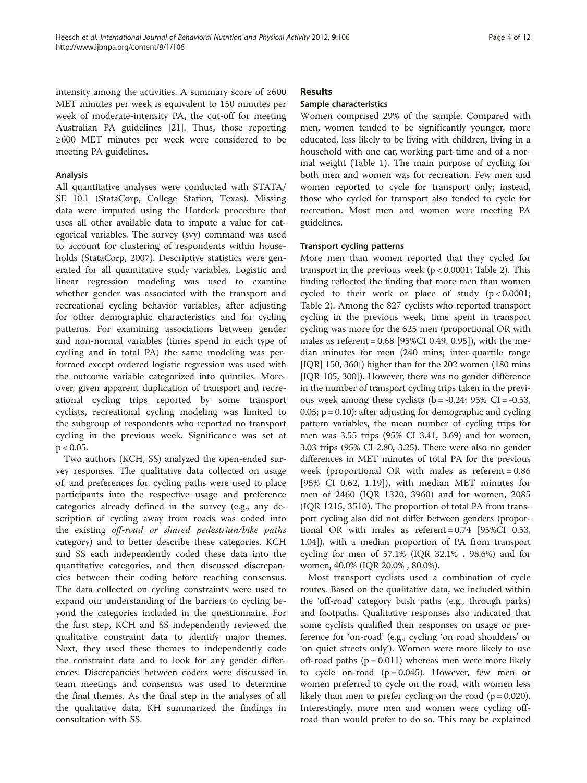intensity among the activities. A summary score of  $\geq 600$ MET minutes per week is equivalent to 150 minutes per week of moderate-intensity PA, the cut-off for meeting Australian PA guidelines [[21\]](#page-10-0). Thus, those reporting ≥600 MET minutes per week were considered to be meeting PA guidelines.

# Analysis

All quantitative analyses were conducted with STATA/ SE 10.1 (StataCorp, College Station, Texas). Missing data were imputed using the Hotdeck procedure that uses all other available data to impute a value for categorical variables. The survey (svy) command was used to account for clustering of respondents within households (StataCorp, 2007). Descriptive statistics were generated for all quantitative study variables. Logistic and linear regression modeling was used to examine whether gender was associated with the transport and recreational cycling behavior variables, after adjusting for other demographic characteristics and for cycling patterns. For examining associations between gender and non-normal variables (times spend in each type of cycling and in total PA) the same modeling was performed except ordered logistic regression was used with the outcome variable categorized into quintiles. Moreover, given apparent duplication of transport and recreational cycling trips reported by some transport cyclists, recreational cycling modeling was limited to the subgroup of respondents who reported no transport cycling in the previous week. Significance was set at  $p < 0.05$ .

Two authors (KCH, SS) analyzed the open-ended survey responses. The qualitative data collected on usage of, and preferences for, cycling paths were used to place participants into the respective usage and preference categories already defined in the survey (e.g., any description of cycling away from roads was coded into the existing off-road or shared pedestrian/bike paths category) and to better describe these categories. KCH and SS each independently coded these data into the quantitative categories, and then discussed discrepancies between their coding before reaching consensus. The data collected on cycling constraints were used to expand our understanding of the barriers to cycling beyond the categories included in the questionnaire. For the first step, KCH and SS independently reviewed the qualitative constraint data to identify major themes. Next, they used these themes to independently code the constraint data and to look for any gender differences. Discrepancies between coders were discussed in team meetings and consensus was used to determine the final themes. As the final step in the analyses of all the qualitative data, KH summarized the findings in consultation with SS.

# Results

# Sample characteristics

Women comprised 29% of the sample. Compared with men, women tended to be significantly younger, more educated, less likely to be living with children, living in a household with one car, working part-time and of a normal weight (Table [1\)](#page-4-0). The main purpose of cycling for both men and women was for recreation. Few men and women reported to cycle for transport only; instead, those who cycled for transport also tended to cycle for recreation. Most men and women were meeting PA guidelines.

# Transport cycling patterns

More men than women reported that they cycled for transport in the previous week ( $p < 0.0001$ ; Table [2](#page-5-0)). This finding reflected the finding that more men than women cycled to their work or place of study (p < 0.0001; Table [2\)](#page-5-0). Among the 827 cyclists who reported transport cycling in the previous week, time spent in transport cycling was more for the 625 men (proportional OR with males as referent = 0.68 [95%CI 0.49, 0.95]), with the median minutes for men (240 mins; inter-quartile range [IQR] 150, 360]) higher than for the 202 women (180 mins [IQR 105, 300]). However, there was no gender difference in the number of transport cycling trips taken in the previous week among these cyclists ( $b = -0.24$ ; 95% CI = -0.53, 0.05;  $p = 0.10$ : after adjusting for demographic and cycling pattern variables, the mean number of cycling trips for men was 3.55 trips (95% CI 3.41, 3.69) and for women, 3.03 trips (95% CI 2.80, 3.25). There were also no gender differences in MET minutes of total PA for the previous week (proportional OR with males as referent = 0.86 [95% CI 0.62, 1.19]), with median MET minutes for men of 2460 (IQR 1320, 3960) and for women, 2085 (IQR 1215, 3510). The proportion of total PA from transport cycling also did not differ between genders (proportional OR with males as referent = 0.74 [95%CI 0.53, 1.04]), with a median proportion of PA from transport cycling for men of 57.1% (IQR 32.1% , 98.6%) and for women, 40.0% (IQR 20.0% , 80.0%).

Most transport cyclists used a combination of cycle routes. Based on the qualitative data, we included within the 'off-road' category bush paths (e.g., through parks) and footpaths. Qualitative responses also indicated that some cyclists qualified their responses on usage or preference for 'on-road' (e.g., cycling 'on road shoulders' or 'on quiet streets only'). Women were more likely to use off-road paths  $(p = 0.011)$  whereas men were more likely to cycle on-road  $(p = 0.045)$ . However, few men or women preferred to cycle on the road, with women less likely than men to prefer cycling on the road ( $p = 0.020$ ). Interestingly, more men and women were cycling offroad than would prefer to do so. This may be explained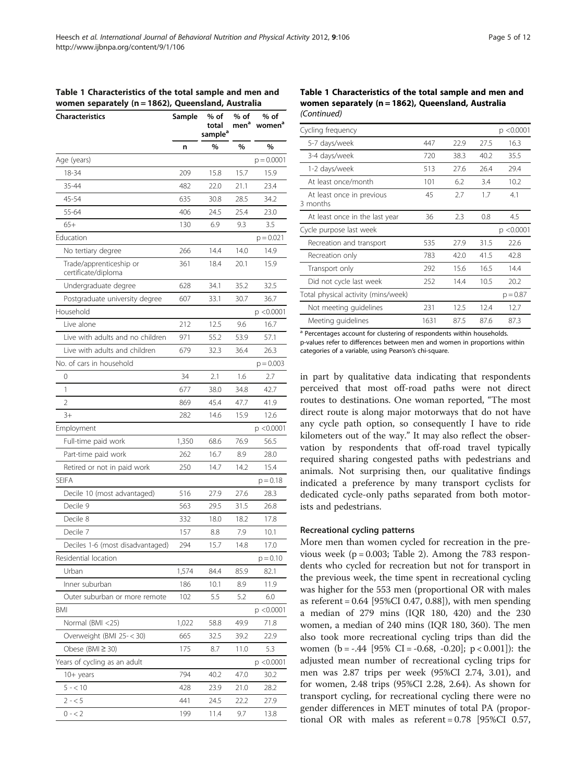<span id="page-4-0"></span>

| <b>Characteristics</b>                         | Sample | % of<br>total<br>sample <sup>a</sup> | $%$ of<br>men <sup>a</sup> | % of<br>women <sup>a</sup> |  |  |
|------------------------------------------------|--------|--------------------------------------|----------------------------|----------------------------|--|--|
|                                                | n      | %                                    | $\%$                       | %                          |  |  |
| Age (years)                                    |        |                                      |                            | $p = 0.0001$               |  |  |
| 18-34                                          | 209    | 15.8                                 | 15.7                       | 15.9                       |  |  |
| 35-44                                          | 482    | 22.0                                 | 21.1                       | 23.4                       |  |  |
| 45-54                                          | 635    | 30.8                                 | 28.5                       | 34.2                       |  |  |
| 55-64                                          | 406    | 24.5                                 | 25.4                       | 23.0                       |  |  |
| $65+$                                          | 130    | 6.9                                  | 9.3                        | 3.5                        |  |  |
| Education                                      |        |                                      |                            | $p = 0.021$                |  |  |
| No tertiary degree                             | 266    | 14.4                                 | 14.0                       | 14.9                       |  |  |
| Trade/apprenticeship or<br>certificate/diploma | 361    | 18.4                                 | 20.1                       | 15.9                       |  |  |
| Undergraduate degree                           | 628    | 34.1                                 | 35.2                       | 32.5                       |  |  |
| Postgraduate university degree                 | 607    | 33.1                                 | 30.7                       | 36.7                       |  |  |
| Household                                      |        |                                      |                            | p < 0.0001                 |  |  |
| Live alone                                     | 212    | 12.5                                 | 9.6                        | 16.7                       |  |  |
| Live with adults and no children               | 971    | 55.2                                 | 53.9                       | 57.1                       |  |  |
| Live with adults and children                  | 679    | 32.3                                 | 36.4                       | 26.3                       |  |  |
| No. of cars in household                       |        |                                      |                            | $p = 0.003$                |  |  |
| 0                                              | 34     | 2.1                                  | 1.6                        | 2.7                        |  |  |
| 1                                              | 677    | 38.0                                 | 34.8                       | 42.7                       |  |  |
| $\overline{2}$                                 | 869    | 45.4                                 | 47.7                       | 41.9                       |  |  |
| $3+$                                           | 282    | 14.6                                 | 15.9                       | 12.6                       |  |  |
| Employment                                     |        |                                      |                            | p < 0.0001                 |  |  |
| Full-time paid work                            | 1,350  | 68.6                                 | 76.9                       | 56.5                       |  |  |
| Part-time paid work                            | 262    | 16.7                                 | 8.9                        | 28.0                       |  |  |
| Retired or not in paid work                    | 250    | 14.7                                 | 14.2                       | 15.4                       |  |  |
| <b>SEIFA</b>                                   |        |                                      |                            | $p = 0.18$                 |  |  |
| Decile 10 (most advantaged)                    | 516    | 27.9                                 | 27.6                       | 28.3                       |  |  |
| Decile 9                                       | 563    | 29.5                                 | 31.5                       | 26.8                       |  |  |
| Decile 8                                       | 332    | 18.0                                 | 18.2                       | 17.8                       |  |  |
| Decile 7                                       | 157    | 8.8                                  | 7.9                        | 10.1                       |  |  |
| Deciles 1-6 (most disadvantaged)               | 294    | 15.7                                 | 14.8                       | 17.0                       |  |  |
| Residential location                           |        |                                      |                            | $p = 0.10$                 |  |  |
| Urban                                          | 1,574  | 84.4                                 | 85.9                       | 82.1                       |  |  |
| Inner suburban                                 | 186    | 10.1                                 | 8.9                        | 11.9                       |  |  |
| Outer suburban or more remote                  | 102    | 5.5                                  | 5.2                        | 6.0                        |  |  |
| <b>BMI</b>                                     |        |                                      |                            | p < 0.0001                 |  |  |
| Normal (BMI <25)                               | 1,022  | 58.8                                 | 49.9                       | 71.8                       |  |  |
| Overweight (BMI 25-<30)                        | 665    | 32.5                                 | 39.2                       | 22.9                       |  |  |
| Obese (BMI ≥ 30)                               | 175    | 8.7                                  | 11.0                       | 5.3                        |  |  |
| Years of cycling as an adult                   |        |                                      |                            | p < 0.0001                 |  |  |
| 10+ years                                      | 794    | 40.2                                 | 47.0                       | 30.2                       |  |  |
| $5 - 10$                                       | 428    | 23.9                                 | 21.0                       | 28.2                       |  |  |
| $2 - 5$                                        | 441    | 24.5                                 | 22.2                       | 27.9                       |  |  |
| $0 - 2$                                        | 199    | 11.4                                 | 9.7                        | 13.8                       |  |  |

Table 1 Characteristics of the total sample and men and women separately (n = 1862), Queensland, Australia (Continued)

| Cycling frequency                     |      |      |      | p < 0.0001 |
|---------------------------------------|------|------|------|------------|
| 5-7 days/week                         | 447  | 22.9 | 27.5 | 16.3       |
| 3-4 days/week                         | 720  | 38.3 | 40.2 | 35.5       |
| 1-2 days/week                         | 513  | 27.6 | 26.4 | 29.4       |
| At least once/month                   | 101  | 6.2  | 3.4  | 10.2       |
| At least once in previous<br>3 months | 45   | 2.7  | 17   | 41         |
| At least once in the last year        | 36   | 2.3  | 0.8  | 4.5        |
| Cycle purpose last week               |      |      |      | p < 0.0001 |
| Recreation and transport              | 535  | 27.9 | 31.5 | 22.6       |
| Recreation only                       | 783  | 42.0 | 41.5 | 42.8       |
| Transport only                        | 292  | 15.6 | 16.5 | 14.4       |
| Did not cycle last week               | 252  | 14.4 | 10.5 | 20.2       |
| Total physical activity (mins/week)   |      |      |      | $p = 0.87$ |
| Not meeting guidelines                | 231  | 12.5 | 12.4 | 12.7       |
| Meeting guidelines                    | 1631 | 87.5 | 87.6 | 87.3       |

a Percentages account for clustering of respondents within households. p-values refer to differences between men and women in proportions within categories of a variable, using Pearson's chi-square.

in part by qualitative data indicating that respondents perceived that most off-road paths were not direct routes to destinations. One woman reported, "The most direct route is along major motorways that do not have any cycle path option, so consequently I have to ride kilometers out of the way." It may also reflect the observation by respondents that off-road travel typically required sharing congested paths with pedestrians and animals. Not surprising then, our qualitative findings indicated a preference by many transport cyclists for dedicated cycle-only paths separated from both motorists and pedestrians.

#### Recreational cycling patterns

More men than women cycled for recreation in the previous week ( $p = 0.003$ ; Table [2](#page-5-0)). Among the 783 respondents who cycled for recreation but not for transport in the previous week, the time spent in recreational cycling was higher for the 553 men (proportional OR with males as referent = 0.64 [95%CI 0.47, 0.88]), with men spending a median of 279 mins (IQR 180, 420) and the 230 women, a median of 240 mins (IQR 180, 360). The men also took more recreational cycling trips than did the women (b = -.44 [95% CI = -0.68, -0.20];  $p < 0.001$ ]): the adjusted mean number of recreational cycling trips for men was 2.87 trips per week (95%CI 2.74, 3.01), and for women, 2.48 trips (95%CI 2.28, 2.64). As shown for transport cycling, for recreational cycling there were no gender differences in MET minutes of total PA (proportional OR with males as referent = 0.78 [95%CI 0.57,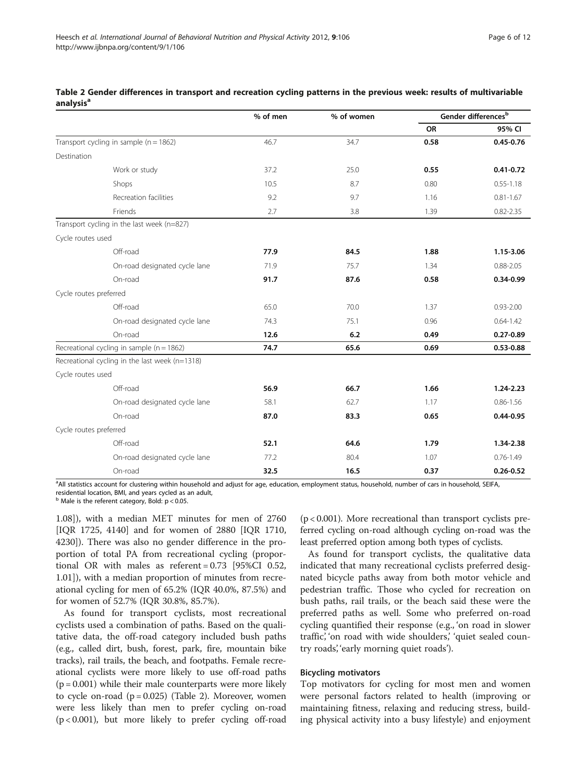|                                                | % of men | % of women | Gender differences <sup>b</sup> |               |  |  |
|------------------------------------------------|----------|------------|---------------------------------|---------------|--|--|
|                                                |          |            | <b>OR</b>                       | 95% CI        |  |  |
| Transport cycling in sample ( $n = 1862$ )     | 46.7     | 34.7       | 0.58                            | $0.45 - 0.76$ |  |  |
| Destination                                    |          |            |                                 |               |  |  |
| Work or study                                  | 37.2     | 25.0       | 0.55                            | $0.41 - 0.72$ |  |  |
| Shops                                          | 10.5     | 8.7        | 0.80                            | $0.55 - 1.18$ |  |  |
| Recreation facilities                          | 9.2      | 9.7        | 1.16                            | $0.81 - 1.67$ |  |  |
| Friends                                        | 2.7      | 3.8        | 1.39                            | $0.82 - 2.35$ |  |  |
| Transport cycling in the last week (n=827)     |          |            |                                 |               |  |  |
| Cycle routes used                              |          |            |                                 |               |  |  |
| Off-road                                       | 77.9     | 84.5       | 1.88                            | 1.15-3.06     |  |  |
| On-road designated cycle lane                  | 71.9     | 75.7       | 1.34                            | $0.88 - 2.05$ |  |  |
| On-road                                        | 91.7     | 87.6       | 0.58                            | 0.34-0.99     |  |  |
| Cycle routes preferred                         |          |            |                                 |               |  |  |
| Off-road                                       | 65.0     | 70.0       | 1.37                            | $0.93 - 2.00$ |  |  |
| On-road designated cycle lane                  | 74.3     | 75.1       | 0.96                            | $0.64 - 1.42$ |  |  |
| On-road                                        | 12.6     | 6.2        | 0.49                            | $0.27 - 0.89$ |  |  |
| Recreational cycling in sample ( $n = 1862$ )  | 74.7     | 65.6       | 0.69                            | $0.53 - 0.88$ |  |  |
| Recreational cycling in the last week (n=1318) |          |            |                                 |               |  |  |
| Cycle routes used                              |          |            |                                 |               |  |  |
| Off-road                                       | 56.9     | 66.7       | 1.66                            | 1.24-2.23     |  |  |
| On-road designated cycle lane                  | 58.1     | 62.7       | 1.17                            | $0.86 - 1.56$ |  |  |
| On-road                                        | 87.0     | 83.3       | 0.65                            | $0.44 - 0.95$ |  |  |
| Cycle routes preferred                         |          |            |                                 |               |  |  |
| Off-road                                       | 52.1     | 64.6       | 1.79                            | 1.34-2.38     |  |  |
| On-road designated cycle lane                  | 77.2     | 80.4       | 1.07                            | $0.76 - 1.49$ |  |  |
| On-road                                        | 32.5     | 16.5       | 0.37                            | $0.26 - 0.52$ |  |  |

# <span id="page-5-0"></span>Table 2 Gender differences in transport and recreation cycling patterns in the previous week: results of multivariable analysis<sup>a</sup>

<sup>a</sup>All statistics account for clustering within household and adjust for age, education, employment status, household, number of cars in household, SEIFA, residential location, BMI, and years cycled as an adult,

 $<sup>b</sup>$  Male is the referent category, Bold:  $p < 0.05$ .</sup>

1.08]), with a median MET minutes for men of 2760 [IQR 1725, 4140] and for women of 2880 [IQR 1710, 4230]). There was also no gender difference in the proportion of total PA from recreational cycling (proportional OR with males as referent = 0.73 [95%CI 0.52, 1.01]), with a median proportion of minutes from recreational cycling for men of 65.2% (IQR 40.0%, 87.5%) and for women of 52.7% (IQR 30.8%, 85.7%).

As found for transport cyclists, most recreational cyclists used a combination of paths. Based on the qualitative data, the off-road category included bush paths (e.g., called dirt, bush, forest, park, fire, mountain bike tracks), rail trails, the beach, and footpaths. Female recreational cyclists were more likely to use off-road paths  $(p = 0.001)$  while their male counterparts were more likely to cycle on-road  $(p = 0.025)$  (Table 2). Moreover, women were less likely than men to prefer cycling on-road (p < 0.001), but more likely to prefer cycling off-road

(p < 0.001). More recreational than transport cyclists preferred cycling on-road although cycling on-road was the least preferred option among both types of cyclists.

As found for transport cyclists, the qualitative data indicated that many recreational cyclists preferred designated bicycle paths away from both motor vehicle and pedestrian traffic. Those who cycled for recreation on bush paths, rail trails, or the beach said these were the preferred paths as well. Some who preferred on-road cycling quantified their response (e.g., 'on road in slower traffic', 'on road with wide shoulders', 'quiet sealed country roads', 'early morning quiet roads').

### Bicycling motivators

Top motivators for cycling for most men and women were personal factors related to health (improving or maintaining fitness, relaxing and reducing stress, building physical activity into a busy lifestyle) and enjoyment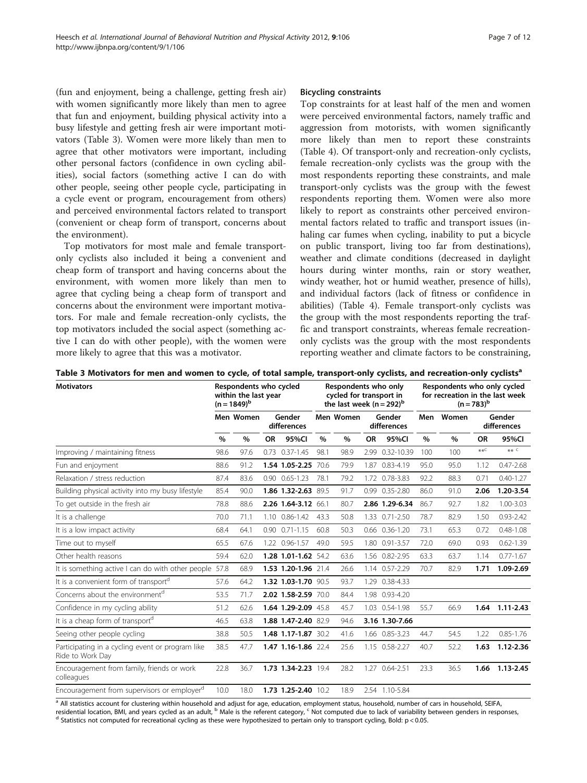(fun and enjoyment, being a challenge, getting fresh air) with women significantly more likely than men to agree that fun and enjoyment, building physical activity into a busy lifestyle and getting fresh air were important motivators (Table 3). Women were more likely than men to agree that other motivators were important, including other personal factors (confidence in own cycling abilities), social factors (something active I can do with other people, seeing other people cycle, participating in a cycle event or program, encouragement from others) and perceived environmental factors related to transport (convenient or cheap form of transport, concerns about the environment).

Top motivators for most male and female transportonly cyclists also included it being a convenient and cheap form of transport and having concerns about the environment, with women more likely than men to agree that cycling being a cheap form of transport and concerns about the environment were important motivators. For male and female recreation-only cyclists, the top motivators included the social aspect (something active I can do with other people), with the women were more likely to agree that this was a motivator.

#### Bicycling constraints

Top constraints for at least half of the men and women were perceived environmental factors, namely traffic and aggression from motorists, with women significantly more likely than men to report these constraints (Table [4](#page-7-0)). Of transport-only and recreation-only cyclists, female recreation-only cyclists was the group with the most respondents reporting these constraints, and male transport-only cyclists was the group with the fewest respondents reporting them. Women were also more likely to report as constraints other perceived environmental factors related to traffic and transport issues (inhaling car fumes when cycling, inability to put a bicycle on public transport, living too far from destinations), weather and climate conditions (decreased in daylight hours during winter months, rain or story weather, windy weather, hot or humid weather, presence of hills), and individual factors (lack of fitness or confidence in abilities) (Table [4\)](#page-7-0). Female transport-only cyclists was the group with the most respondents reporting the traffic and transport constraints, whereas female recreationonly cyclists was the group with the most respondents reporting weather and climate factors to be constraining,

Table 3 Motivators for men and women to cycle, of total sample, transport-only cyclists, and recreation-only cyclists<sup>a</sup>

| <b>Motivators</b>                                                    |      | Respondents who cycled<br>within the last year<br>$(n = 1849)^b$ |                       |                          |      | Respondents who only<br>cycled for transport in<br>the last week $(n = 292)^{b}$ |                       |                 |      | Respondents who only cycled<br>for recreation in the last week<br>$(n = 783)^b$ |                       |                |  |
|----------------------------------------------------------------------|------|------------------------------------------------------------------|-----------------------|--------------------------|------|----------------------------------------------------------------------------------|-----------------------|-----------------|------|---------------------------------------------------------------------------------|-----------------------|----------------|--|
|                                                                      |      | Men Women                                                        | Gender<br>differences |                          |      | Men Women                                                                        | Gender<br>differences |                 |      | Men Women                                                                       | Gender<br>differences |                |  |
|                                                                      | %    | %                                                                | <b>OR</b>             | 95%CI                    | %    | %                                                                                | <b>OR</b>             | 95%CI           | $\%$ | %                                                                               | <b>OR</b>             | 95%CI          |  |
| Improving / maintaining fitness                                      | 98.6 | 97.6                                                             |                       | 0.73 0.37-1.45           | 98.1 | 98.9                                                                             |                       | 2.99 0.32-10.39 | 100  | 100                                                                             | **C                   | $** C$         |  |
| Fun and enjoyment                                                    | 88.6 | 91.2                                                             |                       | 1.54 1.05-2.25 70.6      |      | 79.9                                                                             |                       | 1.87 0.83-4.19  | 95.0 | 95.0                                                                            | 1.12                  | $0.47 - 2.68$  |  |
| Relaxation / stress reduction                                        | 87.4 | 83.6                                                             |                       | 0.90 0.65-1.23           | 78.1 | 79.2                                                                             |                       | 1.72 0.78-3.83  | 92.2 | 88.3                                                                            | 0.71                  | $0.40 - 1.27$  |  |
| Building physical activity into my busy lifestyle                    | 85.4 | 90.0                                                             |                       | 1.86 1.32-2.63 89.5      |      | 91.7                                                                             |                       | 0.99 0.35-2.80  | 86.0 | 91.0                                                                            | 2.06                  | 1.20-3.54      |  |
| To get outside in the fresh air                                      | 78.8 | 88.6                                                             |                       | 2.26 1.64-3.12 66.1      |      | 80.7                                                                             |                       | 2.86 1.29-6.34  | 86.7 | 92.7                                                                            | 1.82                  | 1.00-3.03      |  |
| It is a challenge                                                    | 70.0 | 71.1                                                             |                       | 1.10 0.86-1.42 43.3      |      | 50.8                                                                             |                       | 1.33 0.71-2.50  | 78.7 | 82.9                                                                            | 1.50                  | $0.93 - 2.42$  |  |
| It is a low impact activity                                          | 68.4 | 64.1                                                             |                       | $0.90 \quad 0.71 - 1.15$ | 60.8 | 50.3                                                                             |                       | 0.66 0.36-1.20  | 73.1 | 65.3                                                                            | 0.72                  | $0.48 - 1.08$  |  |
| Time out to myself                                                   | 65.5 | 67.6                                                             |                       | 1.22 0.96-1.57           | 49.0 | 59.5                                                                             |                       | 1.80 0.91-3.57  | 72.0 | 69.0                                                                            | 0.93                  | $0.62 - 1.39$  |  |
| Other health reasons                                                 | 59.4 | 62.0                                                             |                       | 1.28 1.01-1.62 54.2      |      | 63.6                                                                             |                       | 1.56 0.82-2.95  | 63.3 | 63.7                                                                            | 1.14                  | $0.77 - 1.67$  |  |
| It is something active I can do with other people 57.8               |      | 68.9                                                             |                       | 1.53 1.20-1.96 21.4      |      | 26.6                                                                             |                       | 1.14 0.57-2.29  | 70.7 | 82.9                                                                            | 1.71                  | 1.09-2.69      |  |
| It is a convenient form of transportd                                | 57.6 | 64.2                                                             |                       | 1.32 1.03-1.70 90.5      |      | 93.7                                                                             |                       | 1.29 0.38-4.33  |      |                                                                                 |                       |                |  |
| Concerns about the environment <sup>d</sup>                          | 53.5 | 71.7                                                             |                       | 2.02 1.58-2.59 70.0      |      | 84.4                                                                             |                       | 1.98 0.93-4.20  |      |                                                                                 |                       |                |  |
| Confidence in my cycling ability                                     | 51.2 | 62.6                                                             |                       | 1.64 1.29-2.09 45.8      |      | 45.7                                                                             |                       | 1.03 0.54-1.98  | 55.7 | 66.9                                                                            |                       | 1.64 1.11-2.43 |  |
| It is a cheap form of transportd                                     | 46.5 | 63.8                                                             |                       | 1.88 1.47-2.40 82.9      |      | 94.6                                                                             |                       | 3.16 1.30-7.66  |      |                                                                                 |                       |                |  |
| Seeing other people cycling                                          | 38.8 | 50.5                                                             |                       | 1.48 1.17-1.87 30.2      |      | 41.6                                                                             |                       | 1.66 0.85-3.23  | 44.7 | 54.5                                                                            | 1.22                  | $0.85 - 1.76$  |  |
| Participating in a cycling event or program like<br>Ride to Work Day | 38.5 | 47.7                                                             |                       | 1.47 1.16-1.86 22.4      |      | 25.6                                                                             |                       | 1.15 0.58-2.27  | 40.7 | 52.2                                                                            | 1.63                  | 1.12-2.36      |  |
| Encouragement from family, friends or work<br>colleagues             | 22.8 | 36.7                                                             |                       | 1.73 1.34-2.23 19.4      |      | 28.2                                                                             |                       | 1.27 0.64-2.51  | 23.3 | 36.5                                                                            | 1.66                  | 1.13-2.45      |  |
| Encouragement from supervisors or employer <sup>d</sup>              | 10.0 | 18.0                                                             |                       | 1.73 1.25-2.40 10.2      |      | 18.9                                                                             |                       | 2.54 1.10-5.84  |      |                                                                                 |                       |                |  |

a All statistics account for clustering within household and adjust for age, education, employment status, household, number of cars in household, SEIFA, residential location, BMI, and years cycled as an adult, <sup>b</sup> Male is the referent category, <sup>c</sup> Not computed due to lack of variability between genders in responses, distatistics not computed for recreational cycling as t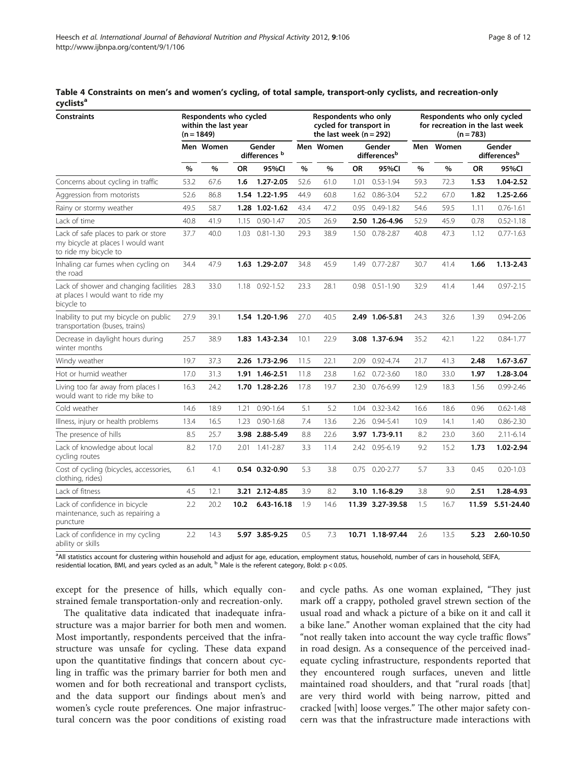#### <span id="page-7-0"></span>Table 4 Constraints on men's and women's cycling, of total sample, transport-only cyclists, and recreation-only cyclists<sup>a</sup>

| <b>Constraints</b>                                                                                 | Respondents who cycled<br>within the last year<br>$(n = 1849)$ |           |                                    |                |      | Respondents who only<br>cycled for transport in<br>the last week $(n = 292)$ |           |                                    | Respondents who only cycled<br>for recreation in the last week<br>$(n = 783)$ |           |                                    |               |
|----------------------------------------------------------------------------------------------------|----------------------------------------------------------------|-----------|------------------------------------|----------------|------|------------------------------------------------------------------------------|-----------|------------------------------------|-------------------------------------------------------------------------------|-----------|------------------------------------|---------------|
|                                                                                                    |                                                                | Men Women | Gender<br>differences <sup>b</sup> |                |      | Men Women                                                                    |           | Gender<br>differences <sup>b</sup> |                                                                               | Men Women | Gender<br>differences <sup>b</sup> |               |
|                                                                                                    | %                                                              | %         | <b>OR</b>                          | 95%CI          | %    | %                                                                            | <b>OR</b> | 95%CI                              | %                                                                             | %         | OR                                 | 95%CI         |
| Concerns about cycling in traffic                                                                  | 53.2                                                           | 67.6      | 1.6                                | 1.27-2.05      | 52.6 | 61.0                                                                         | 1.01      | $0.53 - 1.94$                      | 59.3                                                                          | 72.3      | 1.53                               | 1.04-2.52     |
| Aggression from motorists                                                                          | 52.6                                                           | 86.8      |                                    | 1.54 1.22-1.95 | 44.9 | 60.8                                                                         | 1.62      | $0.86 - 3.04$                      | 52.2                                                                          | 67.0      | 1.82                               | 1.25-2.66     |
| Rainy or stormy weather                                                                            | 49.5                                                           | 58.7      |                                    | 1.28 1.02-1.62 | 43.4 | 47.2                                                                         | 0.95      | $0.49 - 1.82$                      | 54.6                                                                          | 59.5      | 1.11                               | $0.76 - 1.61$ |
| Lack of time                                                                                       | 40.8                                                           | 41.9      | 1.15                               | $0.90 - 1.47$  | 20.5 | 26.9                                                                         |           | 2.50 1.26-4.96                     | 52.9                                                                          | 45.9      | 0.78                               | $0.52 - 1.18$ |
| Lack of safe places to park or store<br>my bicycle at places I would want<br>to ride my bicycle to | 37.7                                                           | 40.0      |                                    | 1.03 0.81-1.30 | 29.3 | 38.9                                                                         |           | 1.50 0.78-2.87                     | 40.8                                                                          | 47.3      | 1.12                               | $0.77 - 1.63$ |
| Inhaling car fumes when cycling on<br>the road                                                     | 34.4                                                           | 47.9      |                                    | 1.63 1.29-2.07 | 34.8 | 45.9                                                                         | 1.49      | $0.77 - 2.87$                      | 30.7                                                                          | 41.4      | 1.66                               | $1.13 - 2.43$ |
| Lack of shower and changing facilities 28.3<br>at places I would want to ride my<br>bicycle to     |                                                                | 33.0      |                                    | 1.18 0.92-1.52 | 23.3 | 28.1                                                                         | 0.98      | $0.51 - 1.90$                      | 32.9                                                                          | 41.4      | 1.44                               | $0.97 - 2.15$ |
| Inability to put my bicycle on public<br>transportation (buses, trains)                            | 27.9                                                           | 39.1      |                                    | 1.54 1.20-1.96 | 27.0 | 40.5                                                                         |           | 2.49 1.06-5.81                     | 24.3                                                                          | 32.6      | 1.39                               | $0.94 - 2.06$ |
| Decrease in daylight hours during<br>winter months                                                 | 25.7                                                           | 38.9      |                                    | 1.83 1.43-2.34 | 10.1 | 22.9                                                                         |           | 3.08 1.37-6.94                     | 35.2                                                                          | 42.1      | 1.22                               | $0.84 - 1.77$ |
| Windy weather                                                                                      | 19.7                                                           | 37.3      |                                    | 2.26 1.73-2.96 | 11.5 | 22.1                                                                         | 2.09      | $0.92 - 4.74$                      | 21.7                                                                          | 41.3      | 2.48                               | 1.67-3.67     |
| Hot or humid weather                                                                               | 17.0                                                           | 31.3      |                                    | 1.91 1.46-2.51 | 11.8 | 23.8                                                                         | 1.62      | $0.72 - 3.60$                      | 18.0                                                                          | 33.0      | 1.97                               | 1.28-3.04     |
| Living too far away from places I<br>would want to ride my bike to                                 | 16.3                                                           | 24.2      |                                    | 1.70 1.28-2.26 | 17.8 | 19.7                                                                         | 2.30      | $0.76 - 6.99$                      | 12.9                                                                          | 18.3      | 1.56                               | 0.99-2.46     |
| Cold weather                                                                                       | 14.6                                                           | 18.9      | 1.21                               | $0.90 - 1.64$  | 5.1  | 5.2                                                                          | 1.04      | $0.32 - 3.42$                      | 16.6                                                                          | 18.6      | 0.96                               | $0.62 - 1.48$ |
| Illness, injury or health problems                                                                 | 13.4                                                           | 16.5      | 1.23                               | $0.90 - 1.68$  | 7.4  | 13.6                                                                         | 2.26      | $0.94 - 5.41$                      | 10.9                                                                          | 14.1      | 1.40                               | 0.86-2.30     |
| The presence of hills                                                                              | 8.5                                                            | 25.7      |                                    | 3.98 2.88-5.49 | 8.8  | 22.6                                                                         |           | 3.97 1.73-9.11                     | 8.2                                                                           | 23.0      | 3.60                               | 2.11-6.14     |
| Lack of knowledge about local<br>cycling routes                                                    | 8.2                                                            | 17.0      | 2.01                               | 1.41-2.87      | 3.3  | 11.4                                                                         | 2.42      | $0.95 - 6.19$                      | 9.2                                                                           | 15.2      | 1.73                               | 1.02-2.94     |
| Cost of cycling (bicycles, accessories,<br>clothing, rides)                                        | 6.1                                                            | 4.1       |                                    | 0.54 0.32-0.90 | 5.3  | 3.8                                                                          |           | 0.75 0.20-2.77                     | 5.7                                                                           | 3.3       | 0.45                               | $0.20 - 1.03$ |
| Lack of fitness                                                                                    | 4.5                                                            | 12.1      |                                    | 3.21 2.12-4.85 | 3.9  | 8.2                                                                          |           | 3.10 1.16-8.29                     | 3.8                                                                           | 9.0       | 2.51                               | 1.28-4.93     |
| Lack of confidence in bicycle<br>maintenance, such as repairing a<br>puncture                      | 2.2                                                            | 20.2      | 10.2                               | 6.43-16.18     | 1.9  | 14.6                                                                         |           | 11.39 3.27-39.58                   | 1.5                                                                           | 16.7      | 11.59                              | 5.51-24.40    |
| Lack of confidence in my cycling<br>ability or skills                                              | 2.2                                                            | 14.3      |                                    | 5.97 3.85-9.25 | 0.5  | 7.3                                                                          |           | 10.71 1.18-97.44                   | 2.6                                                                           | 13.5      | 5.23                               | 2.60-10.50    |

a<br>All statistics account for clustering within household and adjust for age, education, employment status, household, number of cars in household, SEIFA, residential location, BMI, and years cycled as an adult,  $<sup>b</sup>$  Male is the referent category, Bold:  $p < 0.05$ .</sup>

except for the presence of hills, which equally constrained female transportation-only and recreation-only.

The qualitative data indicated that inadequate infrastructure was a major barrier for both men and women. Most importantly, respondents perceived that the infrastructure was unsafe for cycling. These data expand upon the quantitative findings that concern about cycling in traffic was the primary barrier for both men and women and for both recreational and transport cyclists, and the data support our findings about men's and women's cycle route preferences. One major infrastructural concern was the poor conditions of existing road

and cycle paths. As one woman explained, "They just mark off a crappy, potholed gravel strewn section of the usual road and whack a picture of a bike on it and call it a bike lane." Another woman explained that the city had "not really taken into account the way cycle traffic flows" in road design. As a consequence of the perceived inadequate cycling infrastructure, respondents reported that they encountered rough surfaces, uneven and little maintained road shoulders, and that "rural roads [that] are very third world with being narrow, pitted and cracked [with] loose verges." The other major safety concern was that the infrastructure made interactions with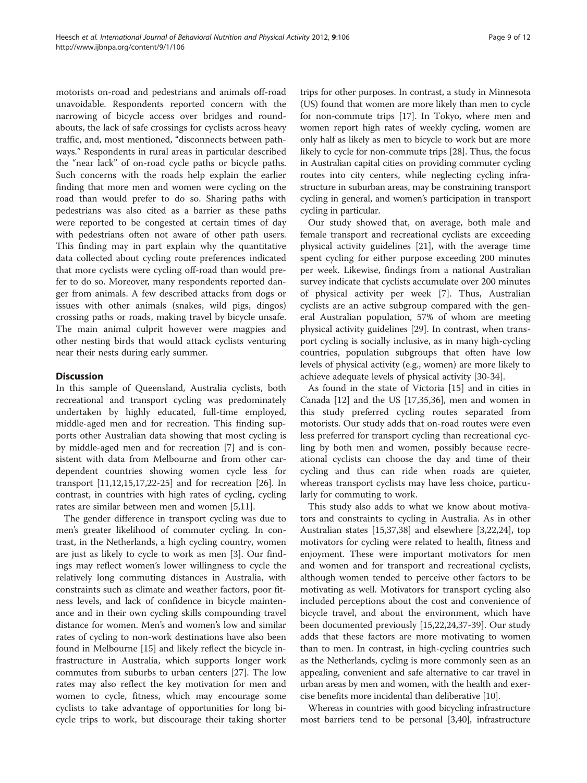motorists on-road and pedestrians and animals off-road unavoidable. Respondents reported concern with the narrowing of bicycle access over bridges and roundabouts, the lack of safe crossings for cyclists across heavy traffic, and, most mentioned, "disconnects between pathways." Respondents in rural areas in particular described the "near lack" of on-road cycle paths or bicycle paths. Such concerns with the roads help explain the earlier finding that more men and women were cycling on the road than would prefer to do so. Sharing paths with pedestrians was also cited as a barrier as these paths were reported to be congested at certain times of day with pedestrians often not aware of other path users. This finding may in part explain why the quantitative

data collected about cycling route preferences indicated that more cyclists were cycling off-road than would prefer to do so. Moreover, many respondents reported danger from animals. A few described attacks from dogs or issues with other animals (snakes, wild pigs, dingos) crossing paths or roads, making travel by bicycle unsafe. The main animal culprit however were magpies and other nesting birds that would attack cyclists venturing near their nests during early summer.

# **Discussion**

In this sample of Queensland, Australia cyclists, both recreational and transport cycling was predominately undertaken by highly educated, full-time employed, middle-aged men and for recreation. This finding supports other Australian data showing that most cycling is by middle-aged men and for recreation [\[7](#page-10-0)] and is consistent with data from Melbourne and from other cardependent countries showing women cycle less for transport [\[11,12,15,17,22](#page-10-0)-[25\]](#page-10-0) and for recreation [[26\]](#page-10-0). In contrast, in countries with high rates of cycling, cycling rates are similar between men and women [[5,11\]](#page-10-0).

The gender difference in transport cycling was due to men's greater likelihood of commuter cycling. In contrast, in the Netherlands, a high cycling country, women are just as likely to cycle to work as men [[3\]](#page-10-0). Our findings may reflect women's lower willingness to cycle the relatively long commuting distances in Australia, with constraints such as climate and weather factors, poor fitness levels, and lack of confidence in bicycle maintenance and in their own cycling skills compounding travel distance for women. Men's and women's low and similar rates of cycling to non-work destinations have also been found in Melbourne [[15\]](#page-10-0) and likely reflect the bicycle infrastructure in Australia, which supports longer work commutes from suburbs to urban centers [\[27](#page-10-0)]. The low rates may also reflect the key motivation for men and women to cycle, fitness, which may encourage some cyclists to take advantage of opportunities for long bicycle trips to work, but discourage their taking shorter

trips for other purposes. In contrast, a study in Minnesota (US) found that women are more likely than men to cycle for non-commute trips [\[17\]](#page-10-0). In Tokyo, where men and women report high rates of weekly cycling, women are only half as likely as men to bicycle to work but are more likely to cycle for non-commute trips [\[28\]](#page-10-0). Thus, the focus in Australian capital cities on providing commuter cycling routes into city centers, while neglecting cycling infrastructure in suburban areas, may be constraining transport cycling in general, and women's participation in transport cycling in particular.

Our study showed that, on average, both male and female transport and recreational cyclists are exceeding physical activity guidelines [[21\]](#page-10-0), with the average time spent cycling for either purpose exceeding 200 minutes per week. Likewise, findings from a national Australian survey indicate that cyclists accumulate over 200 minutes of physical activity per week [\[7](#page-10-0)]. Thus, Australian cyclists are an active subgroup compared with the general Australian population, 57% of whom are meeting physical activity guidelines [\[29](#page-10-0)]. In contrast, when transport cycling is socially inclusive, as in many high-cycling countries, population subgroups that often have low levels of physical activity (e.g., women) are more likely to achieve adequate levels of physical activity [\[30-34](#page-10-0)].

As found in the state of Victoria [\[15](#page-10-0)] and in cities in Canada [\[12\]](#page-10-0) and the US [\[17,35,36](#page-10-0)], men and women in this study preferred cycling routes separated from motorists. Our study adds that on-road routes were even less preferred for transport cycling than recreational cycling by both men and women, possibly because recreational cyclists can choose the day and time of their cycling and thus can ride when roads are quieter, whereas transport cyclists may have less choice, particularly for commuting to work.

This study also adds to what we know about motivators and constraints to cycling in Australia. As in other Australian states [[15](#page-10-0),[37](#page-10-0),[38](#page-10-0)] and elsewhere [\[3,22,24\]](#page-10-0), top motivators for cycling were related to health, fitness and enjoyment. These were important motivators for men and women and for transport and recreational cyclists, although women tended to perceive other factors to be motivating as well. Motivators for transport cycling also included perceptions about the cost and convenience of bicycle travel, and about the environment, which have been documented previously [\[15,22,24,37-39](#page-10-0)]. Our study adds that these factors are more motivating to women than to men. In contrast, in high-cycling countries such as the Netherlands, cycling is more commonly seen as an appealing, convenient and safe alternative to car travel in urban areas by men and women, with the health and exercise benefits more incidental than deliberative [\[10\]](#page-10-0).

Whereas in countries with good bicycling infrastructure most barriers tend to be personal [\[3,40\]](#page-10-0), infrastructure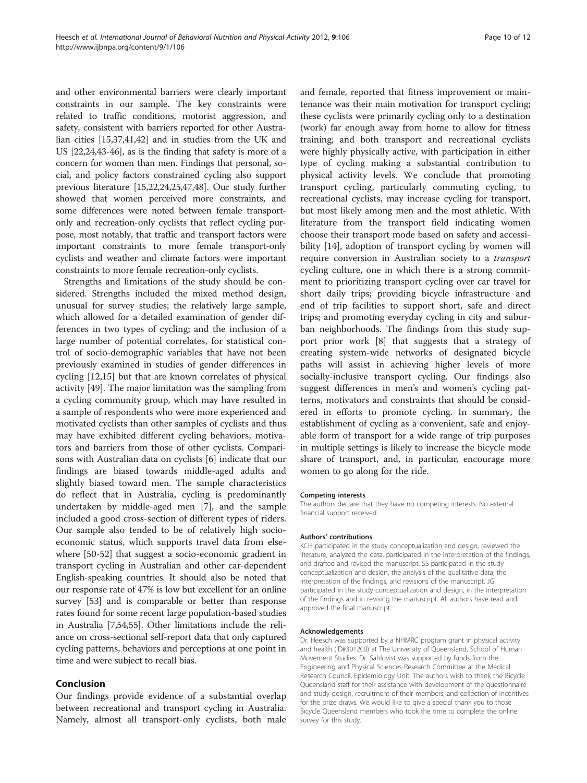and other environmental barriers were clearly important constraints in our sample. The key constraints were related to traffic conditions, motorist aggression, and safety, consistent with barriers reported for other Australian cities [\[15,37,41,42\]](#page-10-0) and in studies from the UK and US [\[22,24,43-46](#page-10-0)], as is the finding that safety is more of a concern for women than men. Findings that personal, social, and policy factors constrained cycling also support previous literature [[15,22,24,25,47](#page-10-0)[,48\]](#page-11-0). Our study further showed that women perceived more constraints, and some differences were noted between female transportonly and recreation-only cyclists that reflect cycling purpose, most notably, that traffic and transport factors were important constraints to more female transport-only cyclists and weather and climate factors were important constraints to more female recreation-only cyclists.

Strengths and limitations of the study should be considered. Strengths included the mixed method design, unusual for survey studies; the relatively large sample, which allowed for a detailed examination of gender differences in two types of cycling; and the inclusion of a large number of potential correlates, for statistical control of socio-demographic variables that have not been previously examined in studies of gender differences in cycling [[12,15](#page-10-0)] but that are known correlates of physical activity [[49\]](#page-11-0). The major limitation was the sampling from a cycling community group, which may have resulted in a sample of respondents who were more experienced and motivated cyclists than other samples of cyclists and thus may have exhibited different cycling behaviors, motivators and barriers from those of other cyclists. Comparisons with Australian data on cyclists [[6\]](#page-10-0) indicate that our findings are biased towards middle-aged adults and slightly biased toward men. The sample characteristics do reflect that in Australia, cycling is predominantly undertaken by middle-aged men [[7\]](#page-10-0), and the sample included a good cross-section of different types of riders. Our sample also tended to be of relatively high socioeconomic status, which supports travel data from elsewhere [[50-52](#page-11-0)] that suggest a socio-economic gradient in transport cycling in Australian and other car-dependent English-speaking countries. It should also be noted that our response rate of 47% is low but excellent for an online survey [[53](#page-11-0)] and is comparable or better than response rates found for some recent large population-based studies in Australia [\[7,](#page-10-0)[54,55](#page-11-0)]. Other limitations include the reliance on cross-sectional self-report data that only captured cycling patterns, behaviors and perceptions at one point in time and were subject to recall bias.

# Conclusion

Our findings provide evidence of a substantial overlap between recreational and transport cycling in Australia. Namely, almost all transport-only cyclists, both male

and female, reported that fitness improvement or maintenance was their main motivation for transport cycling; these cyclists were primarily cycling only to a destination (work) far enough away from home to allow for fitness training; and both transport and recreational cyclists were highly physically active, with participation in either type of cycling making a substantial contribution to physical activity levels. We conclude that promoting transport cycling, particularly commuting cycling, to recreational cyclists, may increase cycling for transport, but most likely among men and the most athletic. With literature from the transport field indicating women choose their transport mode based on safety and accessibility [\[14\]](#page-10-0), adoption of transport cycling by women will require conversion in Australian society to a transport cycling culture, one in which there is a strong commitment to prioritizing transport cycling over car travel for short daily trips; providing bicycle infrastructure and end of trip facilities to support short, safe and direct trips; and promoting everyday cycling in city and suburban neighborhoods. The findings from this study support prior work [\[8\]](#page-10-0) that suggests that a strategy of creating system-wide networks of designated bicycle paths will assist in achieving higher levels of more socially-inclusive transport cycling. Our findings also suggest differences in men's and women's cycling patterns, motivators and constraints that should be considered in efforts to promote cycling. In summary, the establishment of cycling as a convenient, safe and enjoyable form of transport for a wide range of trip purposes in multiple settings is likely to increase the bicycle mode share of transport, and, in particular, encourage more women to go along for the ride.

#### Competing interests

The authors declare that they have no competing interests. No external financial support received.

#### Authors' contributions

KCH participated in the study conceptualization and design, reviewed the literature, analyzed the data, participated in the interpretation of the findings, and drafted and revised the manuscript. SS participated in the study conceptualization and design, the analysis of the qualitative data, the interpretation of the findings, and revisions of the manuscript. JG participated in the study conceptualization and design, in the interpretation of the findings and in revising the manuscript. All authors have read and approved the final manuscript.

#### Acknowledgements

Dr. Heesch was supported by a NHMRC program grant in physical activity and health (ID#301200) at The University of Queensland, School of Human Movement Studies. Dr. Sahlqvist was supported by funds from the Engineering and Physical Sciences Research Committee at the Medical Research Council, Epidemiology Unit. The authors wish to thank the Bicycle Queensland staff for their assistance with development of the questionnaire and study design, recruitment of their members, and collection of incentives for the prize draws. We would like to give a special thank you to those Bicycle Queensland members who took the time to complete the online survey for this study.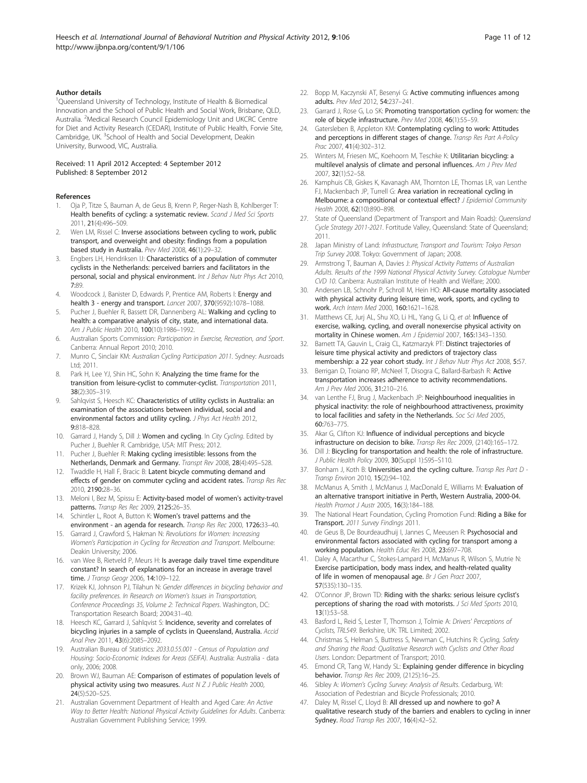#### <span id="page-10-0"></span>Author details

<sup>1</sup>Queensland University of Technology, Institute of Health & Biomedical Innovation and the School of Public Health and Social Work, Brisbane, QLD, Australia. <sup>2</sup>Medical Research Council Epidemiology Unit and UKCRC Centre for Diet and Activity Research (CEDAR), Institute of Public Health, Forvie Site, Cambridge, UK. <sup>3</sup>School of Health and Social Development, Deakin University, Burwood, VIC, Australia.

#### Received: 11 April 2012 Accepted: 4 September 2012 Published: 8 September 2012

#### References

- 1. Oja P, Titze S, Bauman A, de Geus B, Krenn P, Reger-Nash B, Kohlberger T: Health benefits of cycling: a systematic review. Scand J Med Sci Sports 2011, 21(4):496–509.
- 2. Wen LM, Rissel C: Inverse associations between cycling to work, public transport, and overweight and obesity: findings from a population based study in Australia. Prev Med 2008, 46(1):29–32.
- Engbers LH, Hendriksen IJ: Characteristics of a population of commuter cyclists in the Netherlands: perceived barriers and facilitators in the personal, social and physical environment. Int J Behav Nutr Phys Act 2010, 7:89.
- 4. Woodcock J, Banister D, Edwards P, Prentice AM, Roberts I: Energy and health 3 - energy and transport. Lancet 2007, 370(9592):1078–1088.
- 5. Pucher J, Buehler R, Bassett DR, Dannenberg AL: Walking and cycling to health: a comparative analysis of city, state, and international data. Am J Public Health 2010, 100(10):1986–1992.
- Australian Sports Commission: Participation in Exercise, Recreation, and Sport. Canberra: Annual Report 2010; 2010.
- 7. Munro C, Sinclair KM: Australian Cycling Participation 2011. Sydney: Ausroads Ltd; 2011.
- 8. Park H, Lee YJ, Shin HC, Sohn K: Analyzing the time frame for the transition from leisure-cyclist to commuter-cyclist. Transportation 2011, 38(2):305–319.
- 9. Sahlqvist S, Heesch KC: Characteristics of utility cyclists in Australia: an examination of the associations between individual, social and environmental factors and utility cycling. J Phys Act Health 2012, 9:818–828.
- 10. Garrard J, Handy S, Dill J: Women and cycling. In City Cycling. Edited by Pucher J, Buehler R. Cambridge, USA: MIT Press; 2012.
- 11. Pucher J, Buehler R: Making cycling irresistible: lessons from the Netherlands, Denmark and Germany. Transpt Rev 2008, 28(4):495–528.
- 12. Twaddle H, Hall F, Bracic B: Latent bicycle commuting demand and effects of gender on commuter cycling and accident rates. Transp Res Rec 2010, 2190:28–36.
- 13. Meloni I, Bez M, Spissu E: Activity-based model of women's activity-travel patterns. Transp Res Rec 2009, 2125:26–35.
- Schintler L, Root A, Button K: Women's travel patterns and the environment - an agenda for research. Transp Res Rec 2000, 1726:33–40.
- 15. Garrard J, Crawford S, Hakman N: Revolutions for Women: Increasing Women's Participation in Cycling for Recreation and Transport. Melbourne: Deakin University; 2006.
- 16. van Wee B, Rietveld P, Meurs H: Is average daily travel time expenditure constant? In search of explanations for an increase in average travel time. J Transp Geogr 2006, 14:109-122.
- 17. Krizek KJ, Johnson PJ, Tilahun N: Gender differences in bicycling behavior and facility preferences. In Research on Women's Issues in Transportation, Conference Proceedings 35, Volume 2: Technical Papers. Washington, DC: Transportation Research Board; 2004:31–40.
- 18. Heesch KC, Garrard J, Sahlqvist S: Incidence, severity and correlates of bicycling injuries in a sample of cyclists in Queensland, Australia. Accid Anal Prev 2011, 43(6):2085–2092.
- 19. Australian Bureau of Statistics: 2033.0.55.001 Census of Population and Housing: Socio-Economic Indexes for Areas (SEIFA). Australia: Australia - data only, 2006; 2008.
- 20. Brown WJ, Bauman AE: Comparison of estimates of population levels of physical activity using two measures. Aust  $N Z J$  Public Health 2000, 24(5):520–525.
- 21. Australian Government Department of Health and Aged Care: An Active Way to Better Health: National Physical Activity Guidelines for Adults. Canberra: Australian Government Publishing Service; 1999.
- 22. Bopp M, Kaczynski AT, Besenyi G: Active commuting influences among adults. Prev Med 2012, 54:237–241.
- 23. Garrard J, Rose G, Lo SK: Promoting transportation cycling for women: the role of bicycle infrastructure. Prev Med 2008, 46(1):55–59.
- 24. Gatersleben B, Appleton KM: Contemplating cycling to work: Attitudes and perceptions in different stages of change. Transp Res Part A-Policy Prac 2007, 41(4):302–312.
- 25. Winters M, Friesen MC, Koehoorn M, Teschke K: Utilitarian bicycling: a multilevel analysis of climate and personal influences. Am J Prev Med 2007, 32(1):52–58.
- 26. Kamphuis CB, Giskes K, Kavanagh AM, Thornton LE, Thomas LR, van Lenthe FJ, Mackenbach JP, Turrell G: Area variation in recreational cycling in Melbourne: a compositional or contextual effect? J Epidemiol Community Health 2008, 62(10):890–898.
- 27. State of Queensland (Department of Transport and Main Roads): Queensland Cycle Strategy 2011-2021. Fortitude Valley, Queensland: State of Queensland; 2011.
- 28. Japan Ministry of Land: Infrastructure, Transport and Tourism: Tokyo Person Trip Survey 2008. Tokyo: Government of Japan; 2008.
- 29. Armstrong T, Bauman A, Davies J: Physical Activity Patterns of Australian Adults. Results of the 1999 National Physical Activity Survey. Catalogue Number CVD 10. Canberra: Australian Institute of Health and Welfare; 2000.
- 30. Andersen LB, Schnohr P, Schroll M, Hein HO: All-cause mortality associated with physical activity during leisure time, work, sports, and cycling to work. Arch Intern Med 2000, 160:1621-1628.
- 31. Matthews CE, Jurj AL, Shu XO, Li HL, Yang G, Li Q, et al: Influence of exercise, walking, cycling, and overall nonexercise physical activity on mortality in Chinese women. Am J Epidemiol 2007, 165:1343–1350.
- 32. Barnett TA, Gauvin L, Craig CL, Katzmarzyk PT: Distinct trajectories of leisure time physical activity and predictors of trajectory class membership: a 22 year cohort study. Int J Behav Nutr Phys Act 2008, 5:57.
- 33. Berrigan D, Troiano RP, McNeel T, Disogra C, Ballard-Barbash R: Active transportation increases adherence to activity recommendations. Am J Prev Med 2006, 31:210–216.
- 34. van Lenthe FJ, Brug J, Mackenbach JP: Neighbourhood inequalities in physical inactivity: the role of neighbourhood attractiveness, proximity to local facilities and safety in the Netherlands. Soc Sci Med 2005, 60:763–775.
- 35. Akar G, Clifton KJ: Influence of individual perceptions and bicycle infrastructure on decision to bike. Transp Res Rec 2009, (2140):165–172.
- 36. Dill J: Bicycling for transportation and health: the role of infrastructure. J Public Health Policy 2009, 30(Suppl 1):S95–S110.
- 37. Bonham J, Koth B: Universities and the cycling culture. Transp Res Part D -Transp Environ 2010, 15(2):94–102.
- 38. McManus A, Smith J, McManus J, MacDonald E, Williams M: Evaluation of an alternative transport initiative in Perth, Western Australia, 2000-04. Health Promot J Austr 2005, 16(3):184–188.
- 39. The National Heart Foundation, Cycling Promotion Fund: Riding a Bike for Transport. 2011 Survey Findings 2011.
- 40. de Geus B, De Bourdeaudhuij I, Jannes C, Meeusen R: Psychosocial and environmental factors associated with cycling for transport among a working population. Health Educ Res 2008, 23:697–708.
- 41. Daley A, Macarthur C, Stokes-Lampard H, McManus R, Wilson S, Mutrie N: Exercise participation, body mass index, and health-related quality of life in women of menopausal age. Br J Gen Pract 2007, 57(535):130–135.
- 42. O'Connor JP, Brown TD: Riding with the sharks: serious leisure cyclist's perceptions of sharing the road with motorists. J Sci Med Sports 2010, 13(1):53–58.
- 43. Basford L, Reid S, Lester T, Thomson J, Tolmie A: Drivers' Perceptions of Cyclists, TRL549. Berkshire, UK: TRL Limited; 2002.
- 44. Christmas S, Helman S, Buttress S, Newman C, Hutchins R: Cycling, Safety and Sharing the Road: Qualitative Research with Cyclists and Other Road Users. London: Department of Transport; 2010.
- 45. Emond CR, Tang W, Handy SL: Explaining gender difference in bicycling behavior. Transp Res Rec 2009, (2125):16–25.
- 46. Sibley A: Women's Cycling Survey: Analysis of Results. Cedarburg, WI: Association of Pedestrian and Bicycle Professionals; 2010.
- 47. Daley M, Rissel C, Lloyd B: All dressed up and nowhere to go? A qualitative research study of the barriers and enablers to cycling in inner Sydney. Road Transp Res 2007, 16(4):42–52.